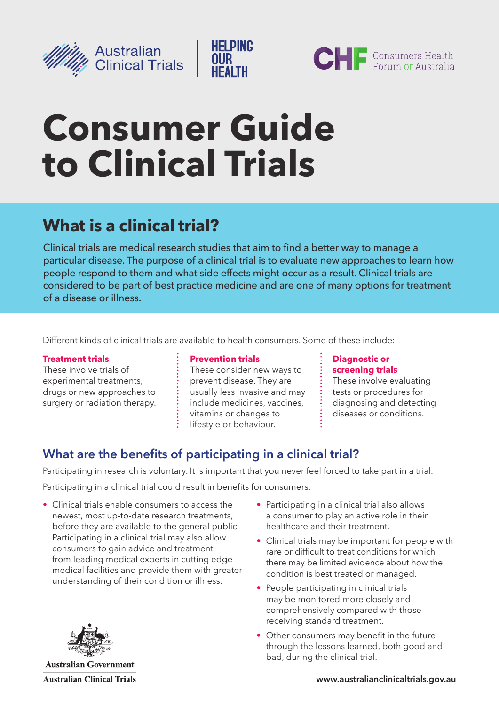



# **Consumer Guide to Clinical Trials**

# **What is a clinical trial?**

Clinical trials are medical research studies that aim to find a better way to manage a particular disease. The purpose of a clinical trial is to evaluate new approaches to learn how people respond to them and what side effects might occur as a result. Clinical trials are considered to be part of best practice medicine and are one of many options for treatment of a disease or illness.

**HELPING** 

**OUR** 

Different kinds of clinical trials are available to health consumers. Some of these include:

### **[Treatment trials](http://clinicaltrials.gov/ct2/info/glossary#ttrials)**

These involve trials of experimental treatments, drugs or new approaches to surgery or radiation therapy.

#### **[Prevention trials](http://clinicaltrials.gov/ct2/info/glossary#prevention)**

These consider new ways to prevent disease. They are usually less invasive and may include medicines, vaccines, vitamins or changes to lifestyle or behaviour.

#### **[Diagnostic or](http://clinicaltrials.gov/ct2/info/glossary#diagnostic)  [screening trials](http://clinicaltrials.gov/ct2/info/glossary#diagnostic)**

These involve evaluating tests or procedures for diagnosing and detecting diseases or conditions.

# **What are the benefits of participating in a clinical trial?**

Participating in research is voluntary. It is important that you never feel forced to take part in a trial.

Participating in a clinical trial could result in benefits for consumers.

- Clinical trials enable consumers to access the newest, most up-to-date research treatments, before they are available to the general public. Participating in a clinical trial may also allow consumers to gain advice and treatment from leading medical experts in cutting edge medical facilities and provide them with greater understanding of their condition or illness.
- Participating in a clinical trial also allows a consumer to play an active role in their healthcare and their treatment.
- Clinical trials may be important for people with rare or difficult to treat conditions for which there may be limited evidence about how the condition is best treated or managed.
- People participating in clinical trials may be monitored more closely and comprehensively compared with those receiving standard treatment.
- Other consumers may benefit in the future through the lessons learned, both good and bad, during the clinical trial.



**Australian Government Australian Clinical Trials**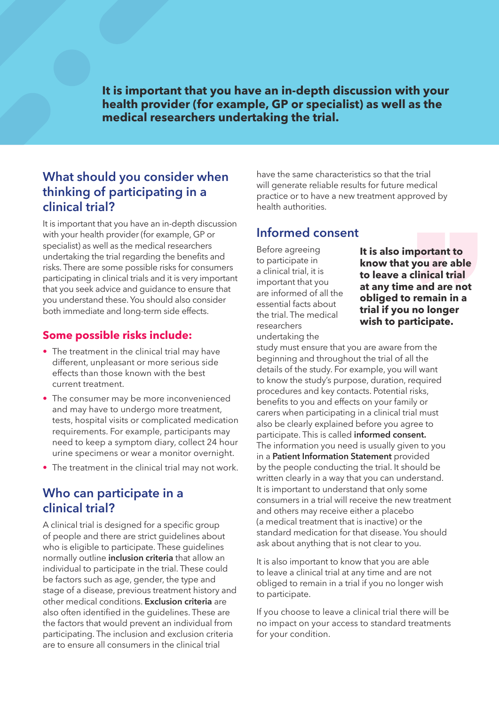**It is important that you have an in‑depth discussion with your health provider (for example, GP or specialist) as well as the medical researchers undertaking the trial.** 

# **What should you consider when thinking of participating in a clinical trial?**

It is important that you have an in-depth discussion with your health provider (for example, GP or specialist) as well as the medical researchers undertaking the trial regarding the benefits and risks. There are some possible risks for consumers participating in clinical trials and it is very important that you seek advice and guidance to ensure that you understand these. You should also consider both immediate and long-term side effects.

### **Some possible risks include:**

- The treatment in the clinical trial may have different, unpleasant or more serious side effects than those known with the best current treatment.
- The consumer may be more inconvenienced and may have to undergo more treatment, tests, hospital visits or complicated medication requirements. For example, participants may need to keep a symptom diary, collect 24 hour urine specimens or wear a monitor overnight.
- The treatment in the clinical trial may not work.

## **Who can participate in a clinical trial?**

A clinical trial is designed for a specific group of people and there are strict guidelines about who is eligible to participate. These guidelines normally outline **inclusion criteria** that allow an individual to participate in the trial. These could be factors such as age, gender, the type and stage of a disease, previous treatment history and other medical conditions. **Exclusion criteria** are also often identified in the guidelines. These are the factors that would prevent an individual from participating. The inclusion and exclusion criteria are to ensure all consumers in the clinical trial

have the same characteristics so that the trial will generate reliable results for future medical practice or to have a new treatment approved by health authorities.

### **Informed consent**

Before agreeing to participate in a clinical trial, it is important that you are informed of all the essential facts about the trial. The medical researchers undertaking the

**It is also important to know that you are able to leave a clinical trial at any time and are not obliged to remain in a trial if you no longer wish to participate.**

study must ensure that you are aware from the beginning and throughout the trial of all the details of the study. For example, you will want to know the study's purpose, duration, required procedures and key contacts. Potential risks, benefits to you and effects on your family or carers when participating in a clinical trial must also be clearly explained before you agree to participate. This is called **informed consent.**  The information you need is usually given to you in a **Patient Information Statement** provided by the people conducting the trial. It should be written clearly in a way that you can understand. It is important to understand that only some consumers in a trial will receive the new treatment and others may receive either a placebo (a medical treatment that is inactive) or the standard medication for that disease. You should ask about anything that is not clear to you.

It is also important to know that you are able to leave a clinical trial at any time and are not obliged to remain in a trial if you no longer wish to participate.

If you choose to leave a clinical trial there will be no impact on your access to standard treatments for your condition.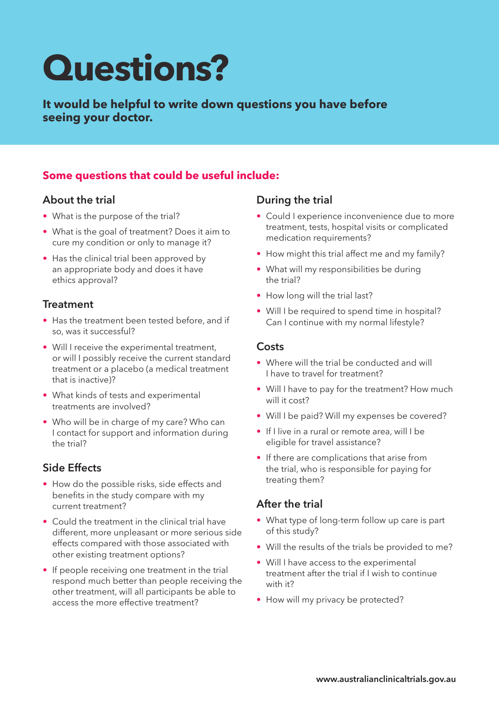# **Questions?**

**It would be helpful to write down questions you have before seeing your doctor.**

# **Some questions that could be useful include:**

### **About the trial**

- What is the purpose of the trial?
- What is the goal of treatment? Does it aim to cure my condition or only to manage it?
- Has the clinical trial been approved by an appropriate body and does it have ethics approval?

### **Treatment**

- Has the treatment been tested before, and if so, was it successful?
- Will I receive the experimental treatment, or will I possibly receive the current standard treatment or a placebo (a medical treatment that is inactive)?
- What kinds of tests and experimental treatments are involved?
- Who will be in charge of my care? Who can I contact for support and information during the trial?

### **Side Effects**

- How do the possible risks, side effects and benefits in the study compare with my current treatment?
- Could the treatment in the clinical trial have different, more unpleasant or more serious side effects compared with those associated with other existing treatment options?
- If people receiving one treatment in the trial respond much better than people receiving the other treatment, will all participants be able to access the more effective treatment?

### **During the trial**

- Could I experience inconvenience due to more treatment, tests, hospital visits or complicated medication requirements?
- How might this trial affect me and my family?
- What will my responsibilities be during the trial?
- How long will the trial last?
- Will I be required to spend time in hospital? Can I continue with my normal lifestyle?

### **Costs**

- Where will the trial be conducted and will I have to travel for treatment?
- Will I have to pay for the treatment? How much will it cost?
- Will I be paid? Will my expenses be covered?
- If I live in a rural or remote area, will I be eligible for travel assistance?
- If there are complications that arise from the trial, who is responsible for paying for treating them?

### **After the trial**

- What type of long-term follow up care is part of this study?
- Will the results of the trials be provided to me?
- Will I have access to the experimental treatment after the trial if I wish to continue with it?
- How will my privacy be protected?